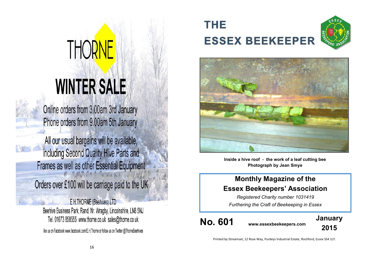# THORNE **WINTER SALE**

Online orders from 3.00am 3rd January Phone orders from 9.00am 5th January

All our usual bargains will be available, including Second Quality Hive Parts and Frames as well as other Essential Equipment

Orders over £100 will be carriage paid to the UK

E.H.THORNE (Beehives) LTD Beehive Business Park, Rand, Nr. Wragby, Lincolnshire, LN8 5NJ Tel. 01673 858555 www.thorne.co.uk sales@thorne.co.uk

like us on Facebook www.facebook.com/E.H.Thorne or follow us on Twitter @ThorneBeehives

# **THE ESSEX BEEKEEPER**





**Inside a hive roof - the work of a leaf cutting bee Photograph by Jean Smye**

### **Monthly Magazine of the Essex Beekeepers' Association**

*Registered Charity number 1031419 Furthering the Craft of Beekeeping in Essex*

**No. 601 www.essexbeekeepers.com**



Printed by Streamset, 12 Rose Way, Purdeys Industrial Estate, Rochford, Essex SS4 1LY.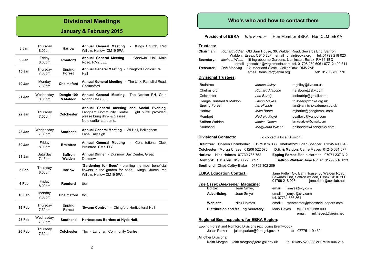#### **Divisional Meetings**

#### **January & February 2015**

| 8 Jan  | Thursday<br>8.00pm  | <b>Harlow</b>           | Kings Church, Red<br><b>Annual General Meeting</b><br>$\blacksquare$<br>Willow, Harlow CM19 5PA                                                             |
|--------|---------------------|-------------------------|-------------------------------------------------------------------------------------------------------------------------------------------------------------|
| 9 Jan  | Friday<br>8.00pm    | Romford                 | Annual General Meeting<br>Chadwick Hall, Main<br>$\blacksquare$<br>Road, RM2 5EL                                                                            |
| 15 Jan | Thursday<br>7.30pm  | Epping<br>Forest        | Annual General Meeting - Chingford Horticultural<br>Hall                                                                                                    |
| 19 Jan | Monday<br>7.30pm    | Chelmsford              | Annual General Meeting - The Link, Rainsfird Road,<br>Chelmsford                                                                                            |
| 21 Jan | Wednesday<br>8.00pm | Dengie 100<br>& Maldon  | <b>Annual General Meeting.</b><br>The Norton PH, Cold<br>Norton CM3 6JE                                                                                     |
| 22 Jan | Thursday<br>7.00pm  | Colchester              | Annual General meeting and Social Evening.<br>Langham Community Centre. Light buffet provided,<br>please bring drink & glasses.<br>Note earlier start time. |
| 28 Jan | Wednesday<br>7.30pm | <b>Southend</b>         | Annual General Meeting - WI Hall, Bellingham<br>Lane, Rayleigh                                                                                              |
| 30 Jan | Friday              | <b>Braintree</b>        | <b>Annual General Meeting</b><br>Constitutional Club.<br>$\blacksquare$<br>Braintree CM7 1TY                                                                |
|        | 8.00pm              |                         |                                                                                                                                                             |
| 31 Jan | Saturday<br>7.15pm  | Saffron<br>Walden       | Annual Dinner - Dunmow Day Centre, Great<br>Dunmow                                                                                                          |
| 5 Feb  | Thursday<br>8.00pm  | <b>Harlow</b>           | 'Gardening for Bees' - planting the most beneficial<br>flowers in the garden for bees.<br>Kings Church, red<br>Willow. Harlow CM19 5PA.                     |
| 6 Feb  | Friday<br>8.00pm    | <b>Romford</b>          | tbc                                                                                                                                                         |
| 16 Feb | Monday<br>7.30pm    | Chelmsford              | tbc                                                                                                                                                         |
| 19 Feb | Thursday<br>7.30pm  | <b>Epping</b><br>Forest | 'Swarm Control' - Chingford Horticultural Hall                                                                                                              |
| 25 Feb | Wednesday<br>7.30pm | Southend                | Herbaceous Borders at Hyde Hall.                                                                                                                            |

#### **Who's who and how to contact them**

**President of EBKA** *Eric Fenner* Hon Member BBKA Hon CLM EBKA

#### **Trustees:**

| Chairman:                   | Richard Ridler, Old Barn House, 36, Walden Road, Sewards End, Saffron |                                                                                                                                                                                                                               |                    |  |
|-----------------------------|-----------------------------------------------------------------------|-------------------------------------------------------------------------------------------------------------------------------------------------------------------------------------------------------------------------------|--------------------|--|
|                             |                                                                       | Walden, Essex. CB10 2LF. email chair@ebka.org tel. 01799 218 023                                                                                                                                                              |                    |  |
| Secretary:                  |                                                                       | Michael Webb 19 Ingrebourne Gardens, Upminster, Essex RM14 1BQ                                                                                                                                                                |                    |  |
|                             |                                                                       | email qsecebka@virqinmedia.com tel. 01708 250 606 / 07712 490 511                                                                                                                                                             |                    |  |
| Treasurer:                  | Bob Manning                                                           | 12, Moorland Close, Collier Row, RM5 2AB                                                                                                                                                                                      |                    |  |
|                             |                                                                       | email treasurer@ebka.org                                                                                                                                                                                                      | tel: 01708 760 770 |  |
| <b>Divisional Trustees:</b> |                                                                       |                                                                                                                                                                                                                               |                    |  |
| Double to the con-          |                                                                       | the control of the control of the control of the control of the control of the control of the control of the control of the control of the control of the control of the control of the control of the control of the control |                    |  |

| Braintree                                       | James Jolley               | mrjolley@live.co.uk                                |
|-------------------------------------------------|----------------------------|----------------------------------------------------|
| Chelmsford                                      | <b>Richard Alabone</b>     | r.alabone@sky.com                                  |
| Colchester                                      | Lee Bartrip                | leebartrip@gmail.com                               |
| Dengie Hundred & Maldon<br><b>Epping Forest</b> | Glenn Mayes<br>Ian Nichols | trustee@dmbka.org.uk<br>ian@iannichols.demon.co.uk |
| Harlow                                          | Mike Barke                 | mjbarke@googlemail.com                             |
| Romford                                         | Pádraig Floyd              | psafloyd@yahoo.com                                 |
| Saffron Walden                                  | Janice Grieve              | janicegrieve@gmail.com                             |
| Southend                                        | Marquerita Wilson          | philandritawilson@sky.com                          |

**Divisional Contacts:** To contact a local Division:

**Braintree**: Colleen Chamberlain 01279 876 333 **Chelmsford**: Brian Spencer 01245 490 843 **Colchester**: Morag Chase 01206 522 576 **D.H. & Maldon**: Carlie Mayes 01245 381 577 **Harlow**: Nick Holmes 07730 735 752 **Epping Forest**: Robin Harman 07971 237 312 **Romford:** Pat Allen 01708 220 897 **Saffron Walden**: Jane Ridler 01799 218 023 **Southend**: Chad Colby-Blake 01702 302 209

Sewards End, Saffron walden, Essex CB10 2LF

#### **EBKA Education Contact:** Jane Ridler Old Barn House, 36 Walden Road

|                                      |                                            | 01799 218 023                                 | jane.ridler@uwclub.net                    |
|--------------------------------------|--------------------------------------------|-----------------------------------------------|-------------------------------------------|
| <b>The Essex Beekeeper Magazine:</b> |                                            |                                               |                                           |
| Editor:                              | Jean Smye,                                 | jsmye@sky.com<br>email:                       |                                           |
| Advertising:                         | Jean Smye                                  | jsmye@sky.com<br>email:<br>tel. 07731 856 361 |                                           |
| Web site:                            | Nick Holmes                                | email:                                        | webmaster@essexbeekeepers.com             |
|                                      | <b>Distribution and Mailing Secretary:</b> | Mary Heyes<br>email:                          | tel. 01702 588 009<br>ml.heyes@virgin.net |

#### **Regional Bee Inspectors for EBKA Region:**

| Julian Parker        | Epping Forest and Romford Divisions (excluding Brentwood):<br>julian.parker@fera.gsi.gov.uk | tel. 07775 119 469                  |
|----------------------|---------------------------------------------------------------------------------------------|-------------------------------------|
| All other Divisions: | Keith Morgan keith morgan@fera.gsi.gov.uk                                                   | tel. 01485 520 838 or 07919 004 215 |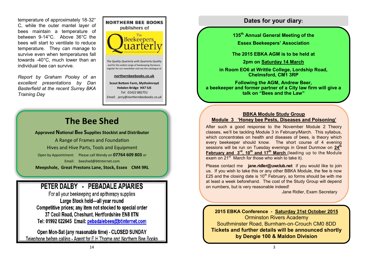temperature of approximately 18-32° C, while the outer mantel layer of bees maintain a temperature of between 9-14°C. Above 36°C the bees will start to ventilate to reduce temperature. They can manage to survive even when temperatures fall towards -40°C, much lower than an individual bee can survive.

*Report by Graham Pooley of an excellent presentations by Dan Basterfield at the recent Surrey BKA Training Day*



*The Quality Quarterly with Quarterly Quality*  and for the widest range of beekeeping literature, register for our newsletter and see the catalogue at

#### **northernbeebooks.co.uk**

**Scout Bottom Farm, Mytholmroyd Hebden Bridge HX7 5JS** *Tel: 01422 882751 Email: jerry@northernbeebooks.co.uk*

## **The Bee Shed**

**Approved National Bee Supplies Stockist and Distributor**

A Range of Frames and Foundation

Hives and Hive Parts, Tools and Equipment

Open by Appointment: Please call Wendy on **07764 609 803** or Email: [beeshed@btinternet.com](mailto:beeshed@btinternet.com)

**Meepshole, Great Prestons Lane, Stock, Essex CM4 9RL**

### PETER DALBY - PEBADALE APIARIES

For all your beekeeping and apitherapy supplies Large Stock held-all year round Competitive prices; any item not stocked to special order 37 Cecil Road, Cheshunt, Hertfordshire EN8 8TN Tel: 01992 622645 Email: pebadalebees@btinternet.com

Open Mon-Sat (any reasonable time) - CLOSED SUNDAY Telephone before calling - Agent for E H Thorne and Northern Bee Books

#### **Dates for your diary:**

**135th Annual General Meeting of the Essex Beekeepers' Association**

**The 2015 EBKA AGM is to be held at** 

**2pm on Saturday 14 March**

**in Room EO6 at Writtle College, Lordship Road, Chelmsford, CM1 3RP**

**Following the AGM, Andrew Beer, a beekeeper and former partner of a City law firm will give a talk on "Bees and the Law"**

#### **BBKA Module Study Group Module 3 'Honey bee Pests, Diseases and Poisoning'**

After such a good response to the November Module 2 Theory classes, we'll be tackling Module 3 in February/March. This syllabus, which concentrates on health and diseases of bees, is theory which every beekeeper should know. The short course of 4 evening sessions will be run on Tuesday evenings in Great Dunmow on **24th February and 3rd, 10th and 17th March** (leading up to the Module exam on 21<sup>st</sup> March for those who wish to take it).

Please contact me **[jane.ridler@uwclub.net](mailto:jane.ridler@uwclub.net)** if you would like to join us. If you wish to take this or any other BBKA Module, the fee is now £25 and the closing date is  $10<sup>th</sup>$  February, so forms should be with me at least a week beforehand. The cost of the Study Group will depend on numbers, but is very reasonable indeed!

Jane Ridler, Exam Secretary

**2015 EBKA Conference - Saturday 31st October 2015** Orminston Rivers Academy Southminster Road, Burnham-on-Crouch CM0 8DD **Tickets and further details will be announced shortly by Dengie 100 & Maldon Division**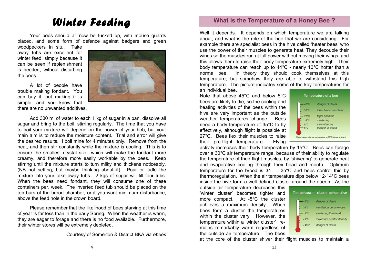# *Winter Feeding*

Your bees should all now be tucked up, with mouse guards placed, and some form of defence against badgers and green

woodpeckers in situ. Take away tubs are excellent for winter feed, simply because it can be seen if replenishment is needed, without disturbing the bees.

A lot of people have trouble making fondant. You can buy it, but making it is simple, and you know that there are no unwanted additives.



Add 300 ml of water to each 1 kg of sugar in a pan, dissolve all sugar and bring to the boil, stirring regularly. The time that you have to boil your mixture will depend on the power of your hob, but your main aim is to reduce the moisture content. Trial and error will give the desired results. I boil mine for 4 minutes only. Remove from the heat, and then stir constantly while the mixture is cooling. This is to ensure the smallest crystal size, which will make the fondant more creamy, and therefore more easily workable by the bees. Keep stirring until the mixture starts to turn milky and thickens noticeably. (NB not setting, but maybe thinking about it). Pour or ladle the mixture into your take away tubs. 2 kgs of sugar will fill four tubs. When the bees need fondant, they will consume one of these containers per. week. The inverted feed tub should be placed on the top bars of the brood chamber, or if you want minimum disturbance, above the feed hole in the crown board.

Please remember that the likelihood of bees starving at this time of year is far less than in the early Spring. When the weather is warm, they are eager to forage and there is no food available. Furthermore, their winter stores will be extremely depleted.

Courtesy of Somerton & District BKA via *ebees*

#### **What is the Temperature of a Honey Bee ?**

Well it depends. It depends on which temperature we are talking about, and what is the role of the bee that we are considering. For example there are specialist bees in the hive called 'heater bees' who use the power of their muscles to generate heat. They decouple their wings so the muscles run at full power without moving their wings, and this allows them to raise their body temperature extremely high. Their body temperature can reach up to 44°C - nearly 10°C hotter than a normal bee. In theory they should cook themselves at this temperature, but somehow they are able to withstand this high temperature. The picture indicates some of the key temperatures for an individual bee.

Note that above 45°C and below 5°C bees are likely to die, so the cooling and heating activities of the bees within the hive are very important as the outside weather temperatures change. Bees need a body temperature of 35°C to fly effectively, although flight is possible at 27°C. Bees flex their muscles to raise their pre-flight temperature. Flying



activity increases their body temperature by 15°C. Bees can forage over a 30°C air temperature range, because of their ability to regulate the temperature of their flight muscles, by 'shivering' to generate heat and evaporative cooling through their head and mouth. Optimum temperature for the brood is  $34 - 35^{\circ}$ C and bees control this by thermoregulation. When the air temperature dips below 12-14°C bees inside the hive form a well defined cluster around the queen. As the

outside air temperature decreases this 'winter cluster' becomes tighter and more compact. At -5°C the cluster achieves a maximum density. When bees form a cluster the temperatures within the cluster vary. However, the temperature within a 'winter cluster' remains remarkably warm regardless of the outside air temperature. The bees



at the core of the cluster shiver their flight muscles to maintain a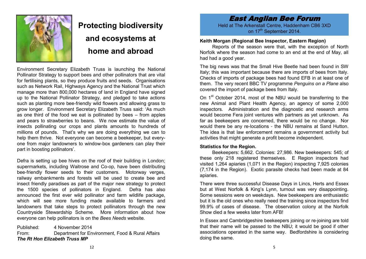

# **Protecting biodiversity and ecosystems at home and abroad**

Environment Secretary Elizabeth Truss is launching the National Pollinator Strategy to support bees and other pollinators that are vital for fertilising plants, so they produce fruits and seeds. Organisations such as Network Rail, Highways Agency and the National Trust which manage more than 800,000 hectares of land in England have signed up to the National Pollinator Strategy, and pledged to take actions such as planting more bee-friendly wild flowers and allowing grass to grow longer. Environment Secretary Elizabeth Truss said: 'As much as one third of the food we eat is pollinated by bees – from apples and pears to strawberries to beans. We now estimate the value of insects pollinating our crops and plants amounts to hundreds of millions of pounds. That's why we are doing everything we can to help them thrive. Not everyone can become a beekeeper, but everyone from major landowners to window-box gardeners can play their part in boosting pollinators'.

Defra is setting up bee hives on the roof of their building in London; supermarkets, including Waitrose and Co-op, have been distributing bee-friendly flower seeds to their customers. Motorway verges, railway embankments and forests will be used to create bee and insect friendly paradises as part of the major new strategy to protect the 1500 species of pollinators in England. Defra has also announced the first ever wild pollinator and farm wildlife package, which will see more funding made available to farmers and landowners that take steps to protect pollinators through the new Countryside Stewardship Scheme. More information about how everyone can help pollinators is on the *Bees Needs* website.

Published: 4 November 2014 From: Department for Environment, Food & Rural Affairs *The Rt Hon Elizabeth Truss MP*

East Anglian Bee Forum

Held at The Arkenstall Centre, Haddenham CB6 3XD on 17<sup>th</sup> September 2014.

#### **Keith Morgan (Regional Bee Inspector, Eastern Region)**

Reports of the season were that, with the exception of North Norfolk where the season had come to an end at the end of May, all had had a good year.

The big news was that the Small Hive Beetle had been found in SW Italy; this was important because there are imports of bees from Italy. Checks of imports of package bees had found EFB in at least one of them. The very recent BBC TV programme *Penguins on a Plane* also covered the import of package bees from Italy.

On 1<sup>st</sup> October 2014, most of the NBU would be transferring to the new Animal and Plant Health Agency, an agency of some 2,000 inspectors. Administration and the diagnostic and research arms would become Fera joint ventures with partners as yet unknown. As far as beekeepers are concerned, there would be no change. Nor would there be any re-locations - the NBU remains at Sand Hutton. The idea is that law enforcement remains a government activity but activities that might generate a profit become independent.

#### **Statistics for the Region.**

Beekeepers: 5,662. Colonies: 27,986. New beekeepers: 545; of these only 218 registered themselves. E Region inspectors had visited 1,264 apiaries (1,071 in the Region) inspecting 7,925 colonies (7,174 in the Region). Exotic parasite checks had been made at 84 apiaries.

There were three successful Disease Days in Lincs, Herts and Essex but at West Norfolk & King's Lynn, turnout was very disappointing. Some sessions were on weekdays. New beekeepers are enthusiastic but it is the old ones who really need the training since inspectors find 99.9% of cases of disease. The observation colony at the Norfolk Show died a few weeks later from AFB!

In Essex and Cambridgeshire beekeepers joining or re-joining are told that their name will be passed to the NBU; it would be good if other associations operated in the same way. Bedfordshire is considering doing the same.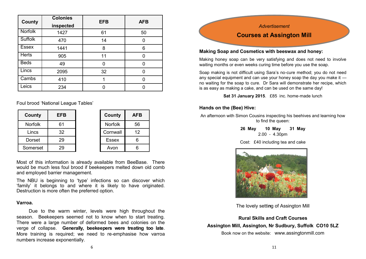| <b>County</b>  | <b>Colonies</b> | <b>EFB</b> | <b>AFB</b> |  |
|----------------|-----------------|------------|------------|--|
|                | inspected       |            |            |  |
| Norfolk        | 1427            | 61         | 50         |  |
| <b>Suffolk</b> | 470             | 14         | 0          |  |
| <b>Essex</b>   | 1441            | 8          | 6          |  |
| <b>Herts</b>   | 905             | 11         | N          |  |
| <b>Beds</b>    | 49              | 0          | N          |  |
| Lincs          | 2095            | 32         |            |  |
| Cambs          | 410             |            |            |  |
| Leics          | 234             |            |            |  |

Foul brood 'National League Tables'

| County         | <b>EFB</b> | <b>County</b> | <b>AFB</b> |
|----------------|------------|---------------|------------|
| <b>Norfolk</b> | 61         | Norfolk       | 56         |
| Lincs          | 32         | Cornwall      | 12         |
| Dorset         | 29         | <b>Essex</b>  |            |
| Somerset       | 29         | Avon          |            |

| County       | AFB |
|--------------|-----|
| Norfolk      | 56  |
| Cornwall     | 12  |
| <b>Essex</b> | 6   |
| Avon         | ิก  |

Most of this information is already available from BeeBase. There would be much less foul brood if beekeepers melted down old comb and employed barrier management.

The NBU is beginning to 'type' infections so can discover which 'family' it belongs to and where it is likely to have originated. Destruction is more often the preferred option.

#### **Varroa.**

Due to the warm winter, levels were high throughout the season. Beekeepers seemed not to know when to start treating. There were a large number of deformed bees and colonies on the verge of collapse. **Generally, beekeepers were treating too late**. More training is required; we need to re-emphasise how varroa numbers increase exponentially.

*Advertisement*

#### **Courses at Assington Mill**

#### **Making Soap and Cosmetics with beeswax and honey:**

Making honey soap can be very satisfying and does not need to involve waiting months or even weeks curing time before you use the soap.

Soap making is not difficult using Sara's no-cure method; you do not need any special equipment and can use your honey soap the day you make it no waiting for the soap to cure. Dr Sara will demonstrate her recipe, which is as easy as making a cake, and can be used on the same day!

**Sat 31 January 2015**. £85 inc. home-made lunch

#### **Hands on the (Bee) Hive:**

An afternoon with Simon Cousins inspecting his beehives and learning how to find the queen:

> **26 May 10 May 31 May** 2.00 - 4.30pm

Cost: £40 including tea and cake



The lovely setti**n**g of Assington Mill

**Rural Skills and Craft Courses Assington Mill, Assington, Nr Sudbury, Suffolk CO10 5LZ**

Book now on the website: www.assingtonmill.com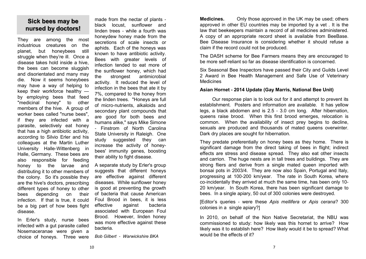#### **Sick bees may be nursed by doctors!**

They are among the most industrious creatures on the planet, but honeybees still struggle when they're ill. Once a disease takes hold inside a hive, the bees can become sluggish and disorientated and many may die. Now it seems honeybees may have a way of helping to keep their workforce healthy by employing bees that feed "medicinal honey" to other members of the hive. A group of worker bees called "nurse bees", if they are infected with a parasite, selectively eat honey that has a high antibiotic activity, according to Silvio Erler and his colleagues at the Martin Luther University Halle-Wittenberg in Halle, Germany. These bees are also responsible for feeding honey to the larvae and distributing it to other members of the colony. So it's possible they are the hive's doctors, prescribing different types of honey to other bees depending on their infection. If that is true, it could be a big part of how bees fight disease.

In Erler's study, nurse bees infected with a gut parasite called Nosemaceranae were given a choice of honeys. Three were made from the nectar of plants black locust, sunflower and linden trees - while a fourth was honeydew honey made from the secretions of scale insects or aphids. Each of the honeys was known to have antibiotic activity. Bees with greater levels of infection tended to eat more of the sunflower honey, which had the strongest antimicrobial activity. It reduced the level of infection in the bees that ate it by 7%, compared to the honey from the linden trees. "Honeys are full of micro-nutrients, alkaloids and secondary plant compounds that are good for both bees and humans alike," says Mike Simone - Finstrom of North Carolina State University in Raleigh. One study suggested they can increase the activity of honeybees' immunity genes, boosting their ability to fight disease.

A separate study by Erler's group suggests that different honeys are effective against different diseases. While sunflower honey is good at preventing the growth of bacteria that cause American Foul Brood in bees, it is less effective against bacteria associated with European Foul Brood. However, linden honey was more effective against these bacteria.

*Bob Gilbert* - *Warwickshire BKA*

**Medicines.** Only those approved in the UK may be used; others approved in other EU countries may be imported by a vet . It is the law that beekeepers maintain a record of all medicines administered. A copy of an appropriate record sheet is available from BeeBase. Bee Disease Insurance is considering whether it should refuse a claim if the record could not be produced.

The DASH scheme for Bee Farmers means they are encouraged to be more self-reliant so far as disease identification is concerned.

Six Seasonal Bee Inspectors have passed their City and Guilds Level 2 Award in Bee Health Management and Safe Use of Veterinary **Medicines** 

#### **Asian Hornet - 2014 Update (Gay Marris, National Bee Unit)**

Our response plan is to look out for it and attempt to prevent its establishment. Posters and information are available. It has yellow legs, a black abdomen and is 2.5 - 3.0 cm long. After hibernation, queens raise brood. When this first brood emerges, relocation is common. When the availability of insect prey begins to decline, sexuals are produced and thousands of mated queens overwinter. Dark dry places are sought for hibernation.

They predate preferentially on honey bees as they home. There is significant damage from the direct taking of bees in flight; indirect effects are stress and disease spread. They also eat other insects and carrion. The huge nests are in tall trees and buildings. They are strong fliers and derive from a single mated queen imported with bonsai pots in 2003/4. They are now also Spain, Portugal and Italy, progressing at 100-200 km/year. The rate in South Korea, where co-incidentally they arrived at much the same time, has been only 10- 20 km/year. In South Korea, there has been significant damage to bees. In a single apiary, 50 out of 300 colonies were destroyed.

[Editor's queries - were these *Apis mellifera* or *Apis cerana*? 300 colonies in a single apiary?]

In 2010, on behalf of the Non Native Secretariat, the NBU was commissioned to study: how likely was this hornet to arrive? How likely was it to establish here? How likely would it be to spread? What would be the effects of it?